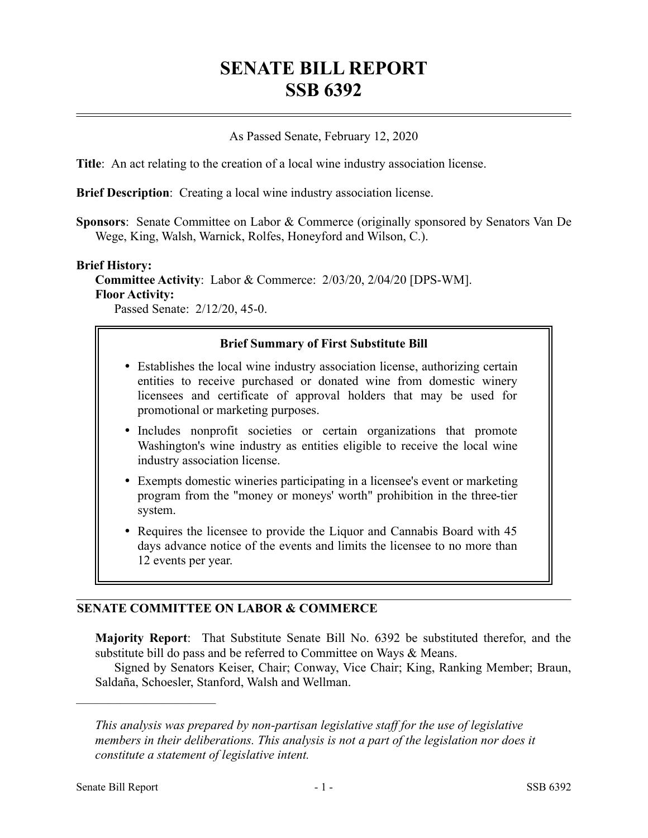# **SENATE BILL REPORT SSB 6392**

### As Passed Senate, February 12, 2020

**Title**: An act relating to the creation of a local wine industry association license.

**Brief Description**: Creating a local wine industry association license.

**Sponsors**: Senate Committee on Labor & Commerce (originally sponsored by Senators Van De Wege, King, Walsh, Warnick, Rolfes, Honeyford and Wilson, C.).

#### **Brief History:**

**Committee Activity**: Labor & Commerce: 2/03/20, 2/04/20 [DPS-WM]. **Floor Activity:**

Passed Senate: 2/12/20, 45-0.

### **Brief Summary of First Substitute Bill**

- Establishes the local wine industry association license, authorizing certain entities to receive purchased or donated wine from domestic winery licensees and certificate of approval holders that may be used for promotional or marketing purposes.
- Includes nonprofit societies or certain organizations that promote Washington's wine industry as entities eligible to receive the local wine industry association license.
- Exempts domestic wineries participating in a licensee's event or marketing program from the "money or moneys' worth" prohibition in the three-tier system.
- Requires the licensee to provide the Liquor and Cannabis Board with 45 days advance notice of the events and limits the licensee to no more than 12 events per year.

## **SENATE COMMITTEE ON LABOR & COMMERCE**

**Majority Report**: That Substitute Senate Bill No. 6392 be substituted therefor, and the substitute bill do pass and be referred to Committee on Ways & Means.

Signed by Senators Keiser, Chair; Conway, Vice Chair; King, Ranking Member; Braun, Saldaña, Schoesler, Stanford, Walsh and Wellman.

––––––––––––––––––––––

*This analysis was prepared by non-partisan legislative staff for the use of legislative members in their deliberations. This analysis is not a part of the legislation nor does it constitute a statement of legislative intent.*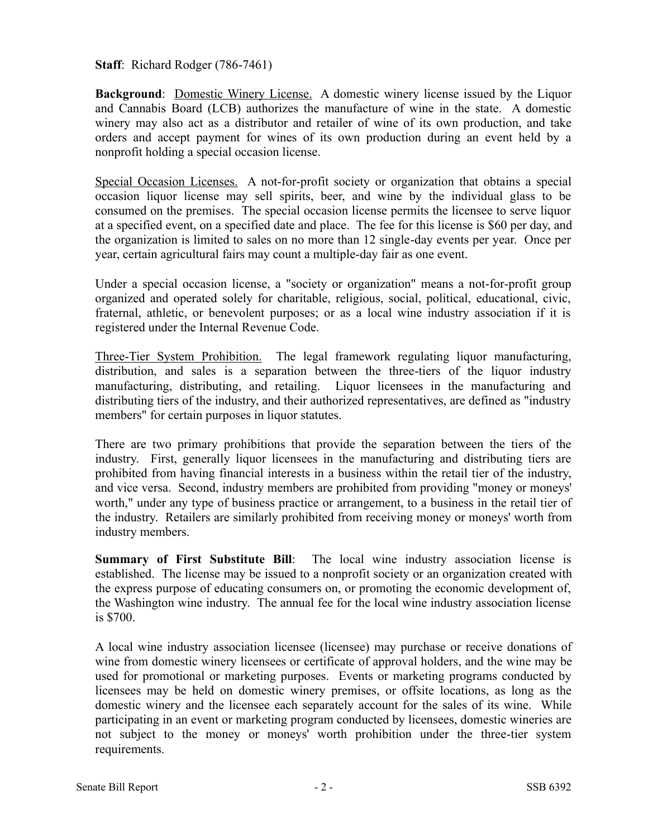**Staff:** Richard Rodger (786-7461)

**Background**: Domestic Winery License. A domestic winery license issued by the Liquor and Cannabis Board (LCB) authorizes the manufacture of wine in the state. A domestic winery may also act as a distributor and retailer of wine of its own production, and take orders and accept payment for wines of its own production during an event held by a nonprofit holding a special occasion license.

Special Occasion Licenses. A not-for-profit society or organization that obtains a special occasion liquor license may sell spirits, beer, and wine by the individual glass to be consumed on the premises. The special occasion license permits the licensee to serve liquor at a specified event, on a specified date and place. The fee for this license is \$60 per day, and the organization is limited to sales on no more than 12 single-day events per year. Once per year, certain agricultural fairs may count a multiple-day fair as one event.

Under a special occasion license, a "society or organization" means a not-for-profit group organized and operated solely for charitable, religious, social, political, educational, civic, fraternal, athletic, or benevolent purposes; or as a local wine industry association if it is registered under the Internal Revenue Code.

Three-Tier System Prohibition. The legal framework regulating liquor manufacturing, distribution, and sales is a separation between the three-tiers of the liquor industry manufacturing, distributing, and retailing. Liquor licensees in the manufacturing and distributing tiers of the industry, and their authorized representatives, are defined as "industry members" for certain purposes in liquor statutes.

There are two primary prohibitions that provide the separation between the tiers of the industry. First, generally liquor licensees in the manufacturing and distributing tiers are prohibited from having financial interests in a business within the retail tier of the industry, and vice versa. Second, industry members are prohibited from providing "money or moneys' worth," under any type of business practice or arrangement, to a business in the retail tier of the industry. Retailers are similarly prohibited from receiving money or moneys' worth from industry members.

**Summary of First Substitute Bill**: The local wine industry association license is established. The license may be issued to a nonprofit society or an organization created with the express purpose of educating consumers on, or promoting the economic development of, the Washington wine industry. The annual fee for the local wine industry association license is \$700.

A local wine industry association licensee (licensee) may purchase or receive donations of wine from domestic winery licensees or certificate of approval holders, and the wine may be used for promotional or marketing purposes. Events or marketing programs conducted by licensees may be held on domestic winery premises, or offsite locations, as long as the domestic winery and the licensee each separately account for the sales of its wine. While participating in an event or marketing program conducted by licensees, domestic wineries are not subject to the money or moneys' worth prohibition under the three-tier system requirements.